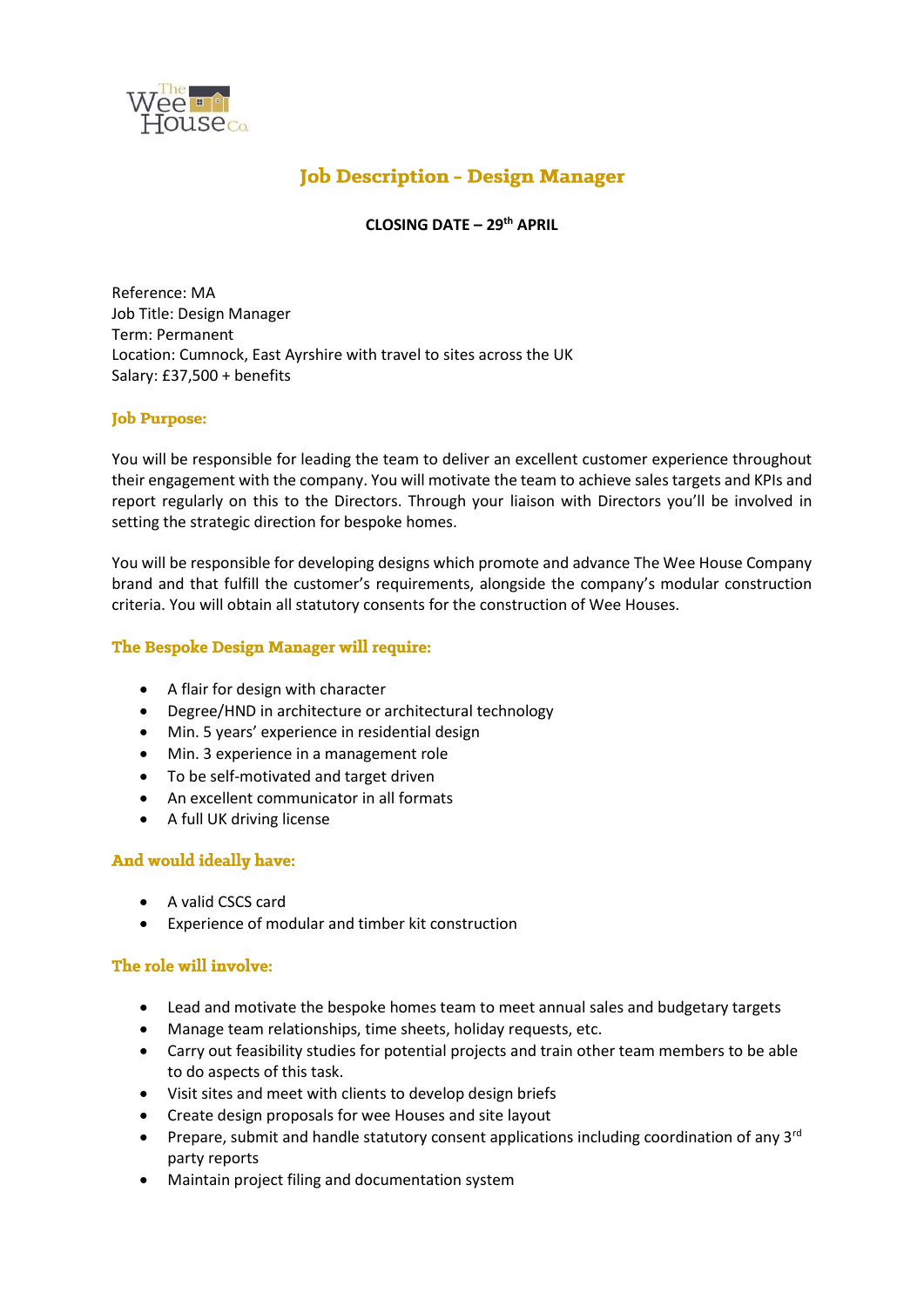

# **Job Description - Design Manager**

# **CLOSING DATE – 29th APRIL**

Reference: MA Job Title: Design Manager Term: Permanent Location: Cumnock, East Ayrshire with travel to sites across the UK Salary: £37,500 + benefits

### **Job Purpose:**

You will be responsible for leading the team to deliver an excellent customer experience throughout their engagement with the company. You will motivate the team to achieve sales targets and KPIs and report regularly on this to the Directors. Through your liaison with Directors you'll be involved in setting the strategic direction for bespoke homes.

You will be responsible for developing designs which promote and advance The Wee House Company brand and that fulfill the customer's requirements, alongside the company's modular construction criteria. You will obtain all statutory consents for the construction of Wee Houses.

#### The Bespoke Design Manager will require:

- A flair for design with character
- Degree/HND in architecture or architectural technology
- Min. 5 years' experience in residential design
- Min. 3 experience in a management role
- To be self-motivated and target driven
- An excellent communicator in all formats
- A full UK driving license

# And would ideally have:

- A valid CSCS card
- Experience of modular and timber kit construction

#### The role will involve:

- Lead and motivate the bespoke homes team to meet annual sales and budgetary targets
- Manage team relationships, time sheets, holiday requests, etc.
- Carry out feasibility studies for potential projects and train other team members to be able to do aspects of this task.
- Visit sites and meet with clients to develop design briefs
- Create design proposals for wee Houses and site layout
- Prepare, submit and handle statutory consent applications including coordination of any  $3^{rd}$ party reports
- Maintain project filing and documentation system